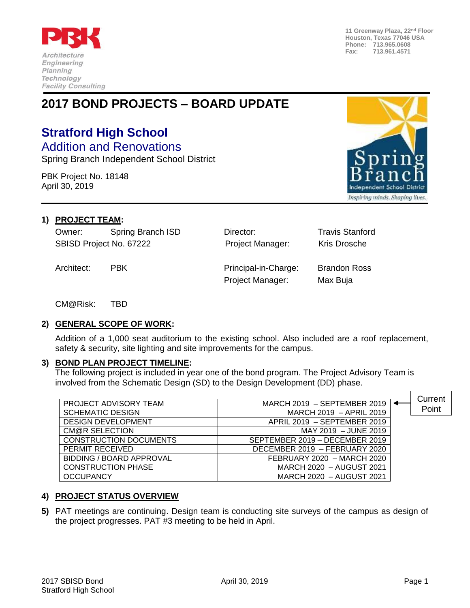

**11 Greenway Plaza, 22nd Floor Houston, Texas 77046 USA Phone: 713.965.0608 Fax: 713.961.4571**

# **2017 BOND PROJECTS – BOARD UPDATE**

# **Stratford High School**

Addition and Renovations Spring Branch Independent School District

PBK Project No. 18148 April 30, 2019



# **1) PROJECT TEAM:**

Owner: Spring Branch ISD Director: Travis Stanford SBISD Project No. 67222 **Project Manager:** Kris Drosche

Architect: PBK Principal-in-Charge: Brandon Ross Project Manager: Max Buja

CM@Risk: TBD

# **2) GENERAL SCOPE OF WORK:**

Addition of a 1,000 seat auditorium to the existing school. Also included are a roof replacement, safety & security, site lighting and site improvements for the campus.

# **3) BOND PLAN PROJECT TIMELINE:**

The following project is included in year one of the bond program. The Project Advisory Team is involved from the Schematic Design (SD) to the Design Development (DD) phase.

| PROJECT ADVISORY TEAM           | MARCH 2019 - SEPTEMBER 2019    | Current |
|---------------------------------|--------------------------------|---------|
|                                 |                                | Point   |
| <b>SCHEMATIC DESIGN</b>         | MARCH 2019 - APRIL 2019        |         |
| <b>DESIGN DEVELOPMENT</b>       | APRIL 2019 - SEPTEMBER 2019    |         |
| CM@R SELECTION                  | MAY 2019 - JUNE 2019           |         |
| <b>CONSTRUCTION DOCUMENTS</b>   | SEPTEMBER 2019 - DECEMBER 2019 |         |
| PERMIT RECEIVED                 | DECEMBER 2019 - FEBRUARY 2020  |         |
| <b>BIDDING / BOARD APPROVAL</b> | FEBRUARY 2020 - MARCH 2020     |         |
| <b>CONSTRUCTION PHASE</b>       | MARCH 2020 - AUGUST 2021       |         |
| <b>OCCUPANCY</b>                | MARCH 2020 - AUGUST 2021       |         |

# **4) PROJECT STATUS OVERVIEW**

**5)** PAT meetings are continuing. Design team is conducting site surveys of the campus as design of the project progresses. PAT #3 meeting to be held in April.